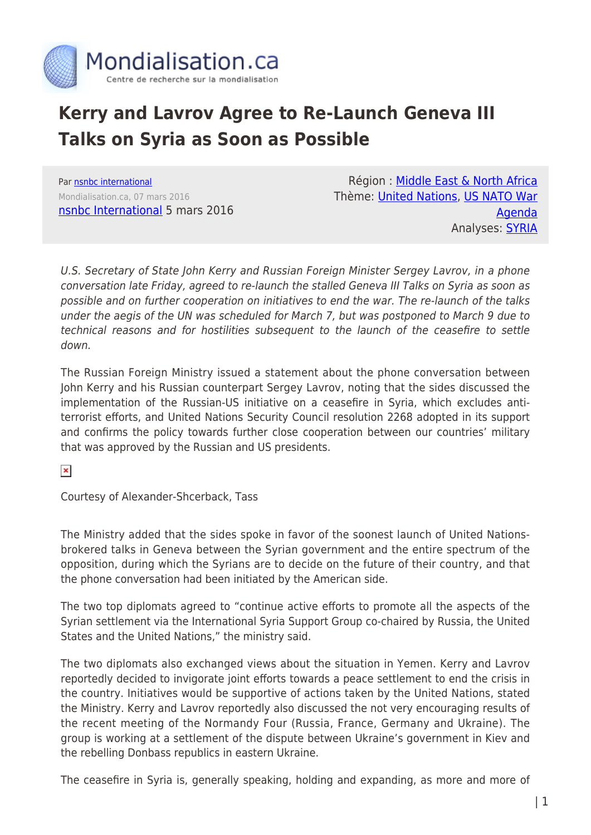

## **Kerry and Lavrov Agree to Re-Launch Geneva III Talks on Syria as Soon as Possible**

Par [nsnbc international](https://www.mondialisation.ca/author/nsnbc-international) Mondialisation.ca, 07 mars 2016 [nsnbc International](http://nsnbc.me/2016/03/05/kerry-lavrov-agree-to-re-launch-geneva-iii-talks-on-syria-as-soon-as-possible/) 5 mars 2016

Région : [Middle East & North Africa](https://www.mondialisation.ca/region/middle-east) Thème: [United Nations,](https://www.mondialisation.ca/theme/united-nations) [US NATO War](https://www.mondialisation.ca/theme/us-nato-war-agenda) [Agenda](https://www.mondialisation.ca/theme/us-nato-war-agenda) Analyses: **SYRIA** 

U.S. Secretary of State John Kerry and Russian Foreign Minister Sergey Lavrov, in a phone conversation late Friday, agreed to re-launch the stalled Geneva III Talks on Syria as soon as possible and on further cooperation on initiatives to end the war. The re-launch of the talks under the aegis of the UN was scheduled for March 7, but was postponed to March 9 due to technical reasons and for hostilities subsequent to the launch of the ceasefire to settle down.

The Russian Foreign Ministry issued a statement about the phone conversation between John Kerry and his Russian counterpart Sergey Lavrov, noting that the sides discussed the implementation of the Russian-US initiative on a ceasefire in Syria, which excludes antiterrorist efforts, and United Nations Security Council resolution 2268 adopted in its support and confirms the policy towards further close cooperation between our countries' military that was approved by the Russian and US presidents.

 $\pmb{\times}$ 

Courtesy of Alexander-Shcerback, Tass

The Ministry added that the sides spoke in favor of the soonest launch of United Nationsbrokered talks in Geneva between the Syrian government and the entire spectrum of the opposition, during which the Syrians are to decide on the future of their country, and that the phone conversation had been initiated by the American side.

The two top diplomats agreed to "continue active efforts to promote all the aspects of the Syrian settlement via the International Syria Support Group co-chaired by Russia, the United States and the United Nations," the ministry said.

The two diplomats also exchanged views about the situation in Yemen. Kerry and Lavrov reportedly decided to invigorate joint efforts towards a peace settlement to end the crisis in the country. Initiatives would be supportive of actions taken by the United Nations, stated the Ministry. Kerry and Lavrov reportedly also discussed the not very encouraging results of the recent meeting of the Normandy Four (Russia, France, Germany and Ukraine). The group is working at a settlement of the dispute between Ukraine's government in Kiev and the rebelling Donbass republics in eastern Ukraine.

The ceasefire in Syria is, generally speaking, holding and expanding, as more and more of